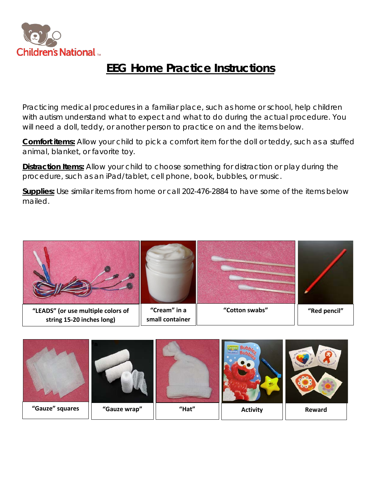

## **EEG Home Practice Instructions**

Practicing medical procedures in a familiar place, such as home or school, help children with autism understand what to expect and what to do during the actual procedure. You will need a doll, teddy, or another person to practice on and the items below.

**Comfort items:** Allow your child to pick a comfort item for the doll or teddy, such as a stuffed animal, blanket, or favorite toy.

**Distraction Items:** Allow your child to choose something for distraction or play during the procedure, such as an iPad/tablet, cell phone, book, bubbles, or music.

**Supplies:** Use similar items from home or call 202-476-2884 to have some of the items below mailed.



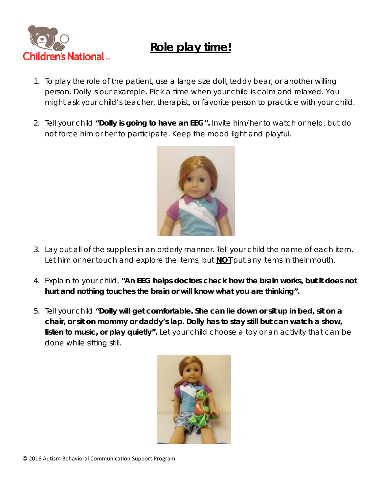

## **Role play time!**

- 1. To play the role of the patient, use a large size doll, teddy bear, or another willing person. Dolly is our example. Pick a time when your child is calm and relaxed. You might ask your child's teacher, therapist, or favorite person to practice with your child.
- 2. Tell your child *"Dolly is going to have an EEG".* Invite him/her to watch or help, but do not force him or her to participate. Keep the mood light and playful.



- 3. Lay out all of the supplies in an orderly manner. Tell your child the name of each item. Let him or her touch and explore the items, but **NOT** put any items in their mouth.
- 4. Explain to your child, *"An EEG helps doctors check how the brain works, but it does not hurt and nothing touches the brain or will know what you are thinking".*
- 5. Tell your child *"Dolly will get comfortable. She can lie down or sit up in bed, sit on a chair, or sit on mommy or daddy's lap. Dolly has to stay still but can watch a show, listen to music, or play quietly".* Let your child choose a toy or an activity that can be done while sitting still.

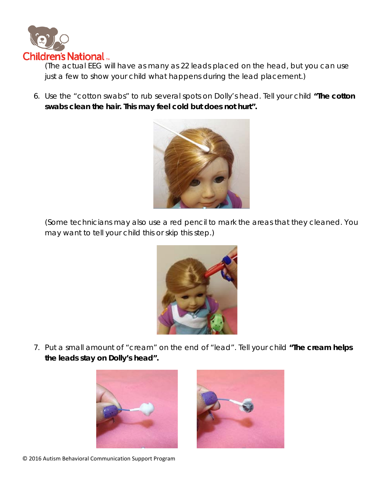

(The actual EEG will have as many as 22 leads placed on the head, but you can use just a few to show your child what happens during the lead placement.)

6. Use the "cotton swabs" to rub several spots on Dolly's head. Tell your child *"The cotton swabs clean the hair. This may feel cold but does not hurt".*



(Some technicians may also use a red pencil to mark the areas that they cleaned. You may want to tell your child this or skip this step.)



7. Put a small amount of "cream" on the end of "lead". Tell your child *"The cream helps the leads stay on Dolly's head".*





© 2016 Autism Behavioral Communication Support Program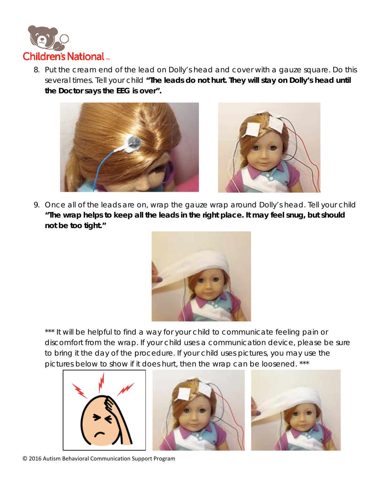

8. Put the cream end of the lead on Dolly's head and cover with a gauze square. Do this several times. Tell your child *"The leads do not hurt. They will stay on Dolly's head until the Doctor says the EEG is over".*





9. Once all of the leads are on, wrap the gauze wrap around Dolly's head. Tell your child *"The wrap helps to keep all the leads in the right place. It may feel snug, but should not be too tight."*



\*\*\* It will be helpful to find a way for your child to communicate feeling pain or discomfort from the wrap. If your child uses a communication device, please be sure to bring it the day of the procedure. If your child uses pictures, you may use the pictures below to show if it does hurt, then the wrap can be loosened. \*\*\*





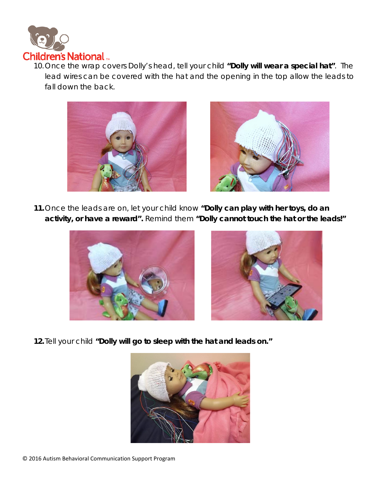

10.Once the wrap covers Dolly's head, tell your child *"Dolly will wear a special hat"*. The lead wires can be covered with the hat and the opening in the top allow the leads to fall down the back.





*11.*Once the leads are on, let your child know *"Dolly can play with her toys, do an activity, or have a reward".* Remind them *"Dolly cannot touch the hat or the leads!"*





**12.**Tell your child **"Dolly will go to sleep with the hat and leads on."**